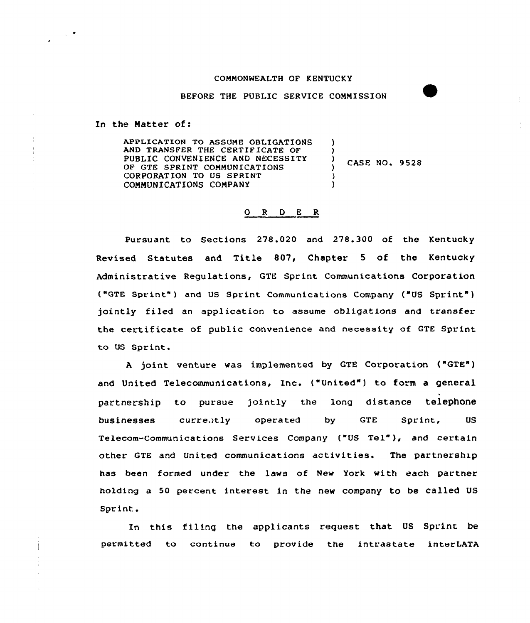## COMMONWEALTH OF KENTUCKY

BEFORE THE PUBLIC SERVICE COMMISSION

In the Natter of:

 $\sim$ 

APPLICATION TO ASSUME OBLIGATIONS AND TRANSFER THE CERTIFICATE OF PUBLIC CONVENIENCE AND NECESSITY OF GTE SPRINT COMMUNICATIONS CORPORATION TO US SPRINT COMMUNICATIONS COMPANY ) )  $\left\{\right\}$  CASE NO. 9528 ) )

## 0 <sup>R</sup> <sup>D</sup> E R

Pursuant to Sections 278.020 and 278.300 of the Kentucky Revised Statutes and Title 807, Chapter <sup>5</sup> of the Kentucky Administrative Regulations, GTE Sprint Communications Corporation ("GTE Sprint" ) and US Sprint Communications Company ("US Sprint" ) jointly filed an application to assume obligations and transfer the certificate of public convenience and necessity of GTE Sprint to US Sprint.

<sup>A</sup> joint venture was implemented by GTE Corporation ("GTE") and United Telecommunications, Inc. ("United") to form a general partnership to pursue jointly the long distance telephone bu<mark>sinesses</mark> curre.itly operated by GTE Sprint, US Telecom-Communications Services Company ("US Tel" ), and certain other GTE and United communications activities. The partnership has been formed under the laws of New York with each partner holding a 50 percent interest in the new company to be called US Sprint.

In this filing the applicants request that US Sprint be permitted to continue to provide the intrastate interLATA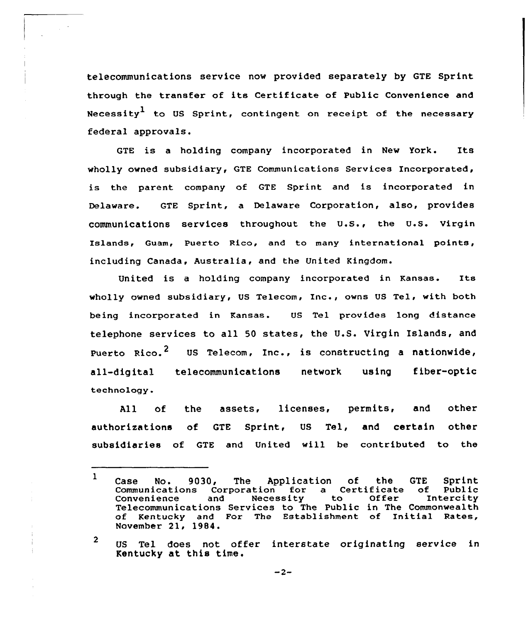telecommunications service now provided separately by GTE Sprint through the transfer of its Certificate of Public Convenience and Necessity<sup>1</sup> to US Sprint, contingent on receipt of the necessary federal approvals.

GTE is <sup>a</sup> holding company incorporated in New York. Its wholly owned subsidiary, GTE Communications Services Incorporated, is the parent company of GTE Sprint and is incorporated in Delaware. GTE Sprint, a Delaware Corporation, also, provides communications services throughout the U.S., the U.S. Virgin Islands, Guam, Puerto Rico, and to many international points, including Canada, Australia, and the United Kingdom.

United is <sup>a</sup> holding company incorporated in Kansas. Its wholly owned subsidiary, US Telecom, Inc., owns US Tel, with both being incorporated in Kansas. US Tel provides long distance telephone services to all 50 states, the U.S. Virgin Islands, and Puerto Rico.<sup>2</sup> US Telecom, Inc., is constructing a nationwide, all-digital telecommunications network using fiber-optic technology.

All of the assets, licenses, permits, and other authorizations of GTE Sprint, US Tel, and certain other subsidiaries of GTE and United will be contributed to the

 $\mathbf{1}$ Case No. 9030, The Application of the GTE Sprint<br>Communications Corporation for a Certificate of Public Communications Corporation for a Certificate of Public Convenience and Necessity to Offer Intercity Telecommunications Services to The Public in The Commonwealth of Kentucky and For The Establishment of Initial Rates, November 21, 1984.

<sup>2</sup> US Tel does not offer interstate originating service in Kentucky at this time.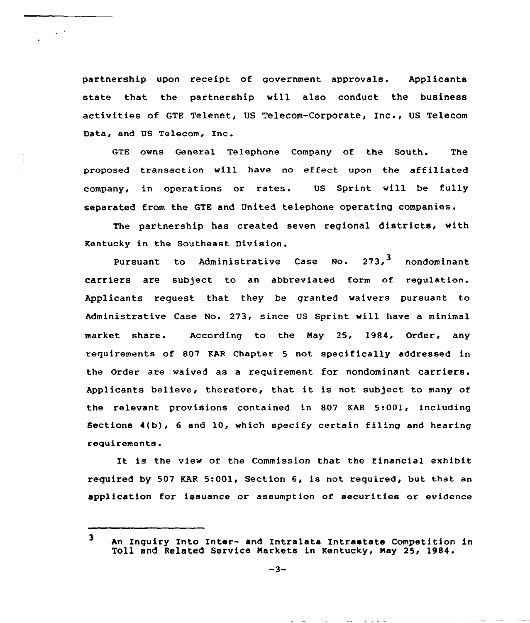partnership upon receipt of government approvals. Applicants state that the partnership will also conduct the business activities of GTE Telenet, US Telecom-Corporate, Inc., US Telecom Data, and US Telecom, Inc.

 $\zeta \to$ 

GTE owns General Telephone Company of the South. The proposed transaction will have no effect upon the affiliated company, in operations or rates. US Sprint will be fully separated from the QTE and United telephone operating companies.

The partnership has created seven regional districts, with Kentucky in the Southeast Division.

Pursuant to Administrative Case No.  $273<sup>3</sup>$  nondominant carriers are subject to an abbreviated form of regulation. Applicants request that they be granted waivers pursuant to Administrative Case No. 273, since US Sprint will have a minimal market share. According to the May 25, 1984, Order, any requirements of 807 KAR Chapter <sup>5</sup> not specifically addressed in the Order are waived as a requirement for nondominant carriers. Applicants believe, therefore, that it is not subject to many of the relevant provisions contained in 807 KAR 5:001, including Sections  $4(b)$ , 6 and 10, which specify certain filing and hearing requirements.

It is the view of the Commission that the financial exhibit required by 507 KAR 5:001, Section 6, is not required, but that an application for issuance or assumption of securities or evidence

<sup>3</sup> An Inquiry Into Inter- and Intralata Intrastate Competition in Toll and Related Service markets in Kentucky, Nay 25, 1984.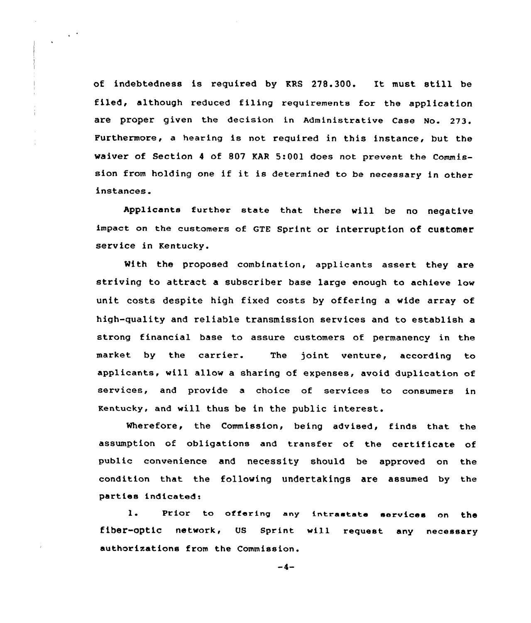of indebtedness is required by KRS 278.300. It must still be filed, although reduced filing requirements for the application are proper given the decision in Administrative case No. 273. Furthermore, a hearing is not required in this instance, but the waiver of Section <sup>4</sup> of 807 KAR 5:001 does not prevent the Commission from holding one if it is determined to be necessary in other instances.

Applicants further state that there will be no negative impact on the customers of GTE Sprint or interruption of customer service in Kentucky.

Mith the proposed combination, applicants assert they are striving to attract a subscriber base large enough to achieve low unit costs despite high fixed costs by offering a wide array of high-quality and reliable transmission services and to establish a strong financial base to assure customers of permanency in the market by the carrier. The joint venture, according to applicants, will allow a sharing of expenses, avoid duplication of services, and provide a choice of services to consumers in Kentucky, and will thus be in the public interest.

Wherefore, the Commission, being advised, finds that the assumption of obligations and transfer of the certificate of public convenience and necessity should be approved on the condition that the following undertakings are assumed by the parties indicated:

 $\mathbf{1}$ . Prior to offering any intrastate services on the fiber-optic network, US Sprint will request any necessary authorizations from the Commission.

 $-4-$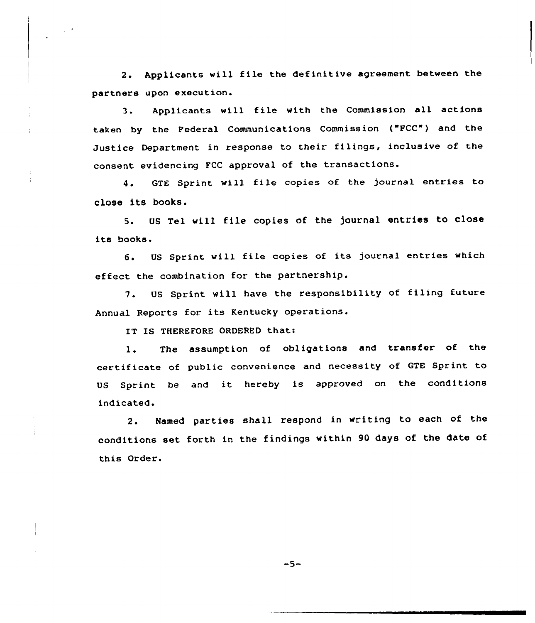2. Applicants will file the definitive agreement between the partners upon execution.

3. Applicants will file with the Commission all actions taken by the Federal Communications Commission ("FCC") and the Justice Department in response to their filings, inclusive of the consent evidencing FCC approval of the transactions.

4. GTE Sprint will file copies of the journal entries to close its books.

5. US Tel will file copies of the )ournal entries to close its books.

6. US Sprint will file copies of its journal entries which effect the combination for the partnership.

7. US Sprint will have the responsibility of filing future Annual Reports for its Kentucky operations.

IT IS THEREFORE ORDERED that:

1. The assumption of obligations and transfer of the certificate of public convenience and necessity of GTE Sprint to US Sprint be and it hereby is approved on the conditions indicated.

2. Named parties shall respond in writing to each of the conditions set forth in the findings within 90 days of the date of this Order.

 $-5-$